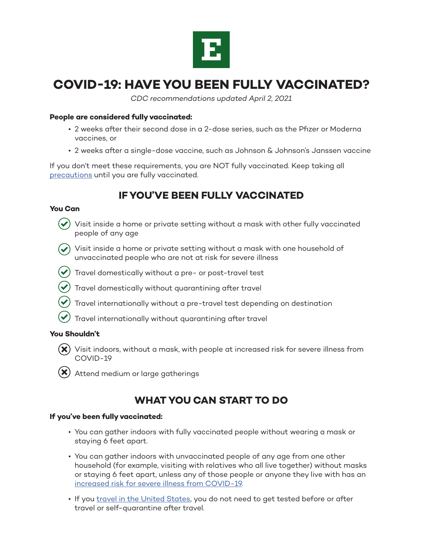

# **COVID-19: HAVE YOU BEEN FULLY VACCINATED?**

*CDC recommendations updated April 2, 2021* 

#### **People are considered fully vaccinated:**

- 2 weeks after their second dose in a 2-dose series, such as the Pfizer or Moderna vaccines, or
- 2 weeks after a single-dose vaccine, such as Johnson & Johnson's Janssen vaccine

If you don't meet these requirements, you are NOT fully vaccinated. Keep taking all [precautions](https://www.cdc.gov/coronavirus/2019-ncov/prevent-getting-sick/prevention.html) until you are fully vaccinated.

### **IF YOU'VE BEEN FULLY VACCINATED**

#### **You Can**

- 
- Visit inside a home or private setting without a mask with other fully vaccinated people of any age
- $\blacktriangledown$  Visit inside a home or private setting without a mask with one household of unvaccinated people who are not at risk for severe illness
- $\blacktriangleright$  Travel domestically without a pre- or post-travel test
	- Travel domestically without quarantining after travel
	- Travel internationally without a pre-travel test depending on destination
	- Travel internationally without quarantining after travel

#### **You Shouldn't**

- $(\bm{\mathsf{x}})$  Visit indoors, without a mask, with people at increased risk for severe illness from COVID-19
- $(\mathsf{X})$  Attend medium or large gatherings

### **WHAT YOU CAN START TO DO**

#### **If you've been fully vaccinated:**

- You can gather indoors with fully vaccinated people without wearing a mask or staying 6 feet apart.
- You can gather indoors with unvaccinated people of any age from one other household (for example, visiting with relatives who all live together) without masks or staying 6 feet apart, unless any of those people or anyone they live with has an [increased risk for severe illness from COVID-19](https://www.cdc.gov/coronavirus/2019-ncov/need-extra-precautions/people-with-medical-conditions.html).
- If you [travel in the United States](https://www.cdc.gov/coronavirus/2019-ncov/travelers/travel-during-covid19.html), you do not need to get tested before or after travel or self-quarantine after travel.